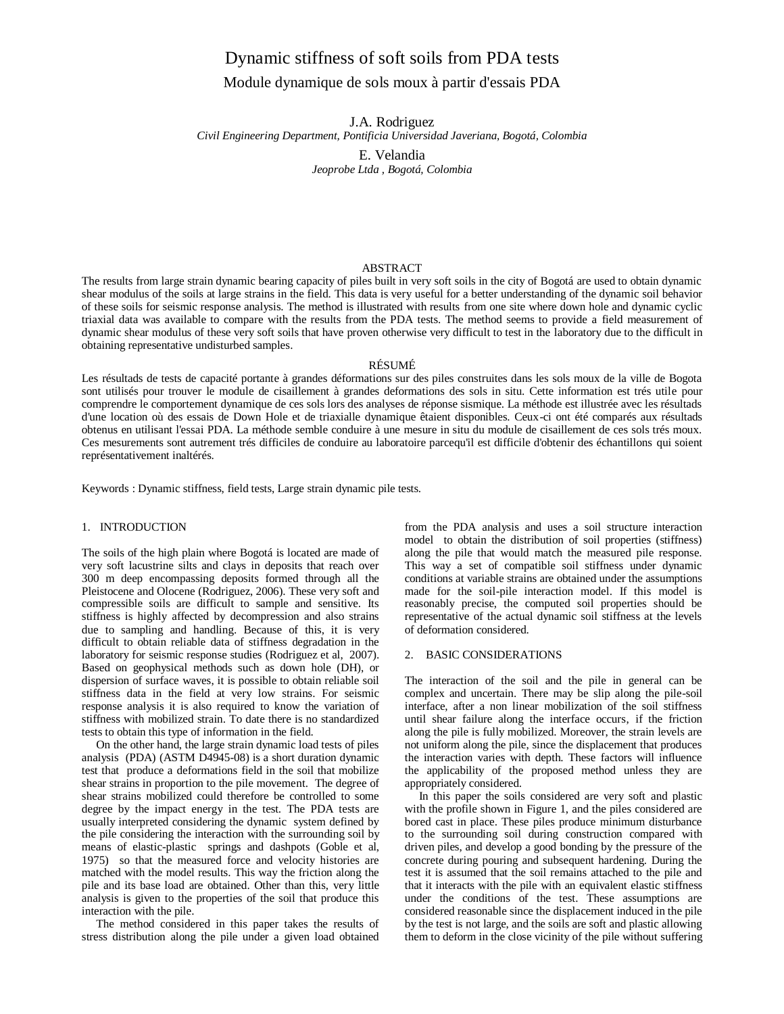# Dynamic stiffness of soft soils from PDA tests

## Module dynamique de sols moux à partir d'essais PDA

J.A. Rodriguez

*Civil Engineering Department, Pontificia Universidad Javeriana, Bogotá, Colombia*

E. Velandia *Jeoprobe Ltda , Bogotá, Colombia*

#### ABSTRACT

The results from large strain dynamic bearing capacity of piles built in very soft soils in the city of Bogotá are used to obtain dynamic shear modulus of the soils at large strains in the field. This data is very useful for a better understanding of the dynamic soil behavior of these soils for seismic response analysis. The method is illustrated with results from one site where down hole and dynamic cyclic triaxial data was available to compare with the results from the PDA tests. The method seems to provide a field measurement of dynamic shear modulus of these very soft soils that have proven otherwise very difficult to test in the laboratory due to the difficult in obtaining representative undisturbed samples.

## RÉSUMÉ

Les résultads de tests de capacité portante à grandes déformations sur des piles construites dans les sols moux de la ville de Bogota sont utilisés pour trouver le module de cisaillement à grandes deformations des sols in situ. Cette information est trés utile pour comprendre le comportement dynamique de ces sols lors des analyses de réponse sismique. La méthode est illustrée avec les résultads d'une location où des essais de Down Hole et de triaxialle dynamique êtaient disponibles. Ceux-ci ont été comparés aux résultads obtenus en utilisant l'essai PDA. La méthode semble conduire à une mesure in situ du module de cisaillement de ces sols trés moux. Ces mesurements sont autrement trés difficiles de conduire au laboratoire parcequ'il est difficile d'obtenir des échantillons qui soient représentativement inaltérés.

Keywords : Dynamic stiffness, field tests, Large strain dynamic pile tests.

## 1. INTRODUCTION

The soils of the high plain where Bogotá is located are made of very soft lacustrine silts and clays in deposits that reach over 300 m deep encompassing deposits formed through all the Pleistocene and Olocene (Rodriguez, 2006). These very soft and compressible soils are difficult to sample and sensitive. Its stiffness is highly affected by decompression and also strains due to sampling and handling. Because of this, it is very difficult to obtain reliable data of stiffness degradation in the laboratory for seismic response studies (Rodriguez et al, 2007). Based on geophysical methods such as down hole (DH), or dispersion of surface waves, it is possible to obtain reliable soil stiffness data in the field at very low strains. For seismic response analysis it is also required to know the variation of stiffness with mobilized strain. To date there is no standardized tests to obtain this type of information in the field.

On the other hand, the large strain dynamic load tests of piles analysis (PDA) (ASTM D4945-08) is a short duration dynamic test that produce a deformations field in the soil that mobilize shear strains in proportion to the pile movement. The degree of shear strains mobilized could therefore be controlled to some degree by the impact energy in the test. The PDA tests are usually interpreted considering the dynamic system defined by the pile considering the interaction with the surrounding soil by means of elastic-plastic springs and dashpots (Goble et al, 1975) so that the measured force and velocity histories are matched with the model results. This way the friction along the pile and its base load are obtained. Other than this, very little analysis is given to the properties of the soil that produce this interaction with the pile.

The method considered in this paper takes the results of stress distribution along the pile under a given load obtained from the PDA analysis and uses a soil structure interaction model to obtain the distribution of soil properties (stiffness) along the pile that would match the measured pile response. This way a set of compatible soil stiffness under dynamic conditions at variable strains are obtained under the assumptions made for the soil-pile interaction model. If this model is reasonably precise, the computed soil properties should be representative of the actual dynamic soil stiffness at the levels of deformation considered.

#### 2. BASIC CONSIDERATIONS

The interaction of the soil and the pile in general can be complex and uncertain. There may be slip along the pile-soil interface, after a non linear mobilization of the soil stiffness until shear failure along the interface occurs, if the friction along the pile is fully mobilized. Moreover, the strain levels are not uniform along the pile, since the displacement that produces the interaction varies with depth. These factors will influence the applicability of the proposed method unless they are appropriately considered.

In this paper the soils considered are very soft and plastic with the profile shown in Figure 1, and the piles considered are bored cast in place. These piles produce minimum disturbance to the surrounding soil during construction compared with driven piles, and develop a good bonding by the pressure of the concrete during pouring and subsequent hardening. During the test it is assumed that the soil remains attached to the pile and that it interacts with the pile with an equivalent elastic stiffness under the conditions of the test. These assumptions are considered reasonable since the displacement induced in the pile by the test is not large, and the soils are soft and plastic allowing them to deform in the close vicinity of the pile without suffering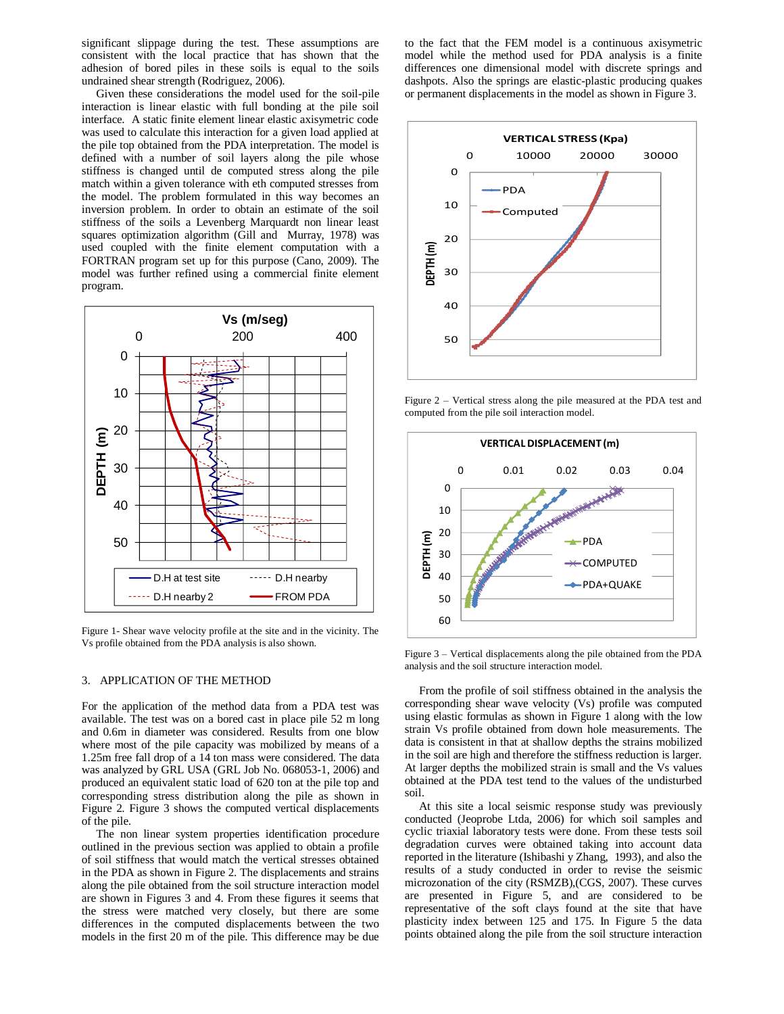significant slippage during the test. These assumptions are consistent with the local practice that has shown that the adhesion of bored piles in these soils is equal to the soils undrained shear strength (Rodriguez, 2006).

Given these considerations the model used for the soil-pile interaction is linear elastic with full bonding at the pile soil interface. A static finite element linear elastic axisymetric code was used to calculate this interaction for a given load applied at the pile top obtained from the PDA interpretation. The model is defined with a number of soil layers along the pile whose stiffness is changed until de computed stress along the pile match within a given tolerance with eth computed stresses from the model. The problem formulated in this way becomes an inversion problem. In order to obtain an estimate of the soil stiffness of the soils a Levenberg Marquardt non linear least squares optimization algorithm (Gill and [Murray,](http://en.wikipedia.org/wiki/Walter_Murray) 1978) was used coupled with the finite element computation with a FORTRAN program set up for this purpose (Cano, 2009). The model was further refined using a commercial finite element program.



Figure 1- Shear wave velocity profile at the site and in the vicinity. The Vs profile obtained from the PDA analysis is also shown.

## 3. APPLICATION OF THE METHOD

For the application of the method data from a PDA test was available. The test was on a bored cast in place pile 52 m long and 0.6m in diameter was considered. Results from one blow where most of the pile capacity was mobilized by means of a 1.25m free fall drop of a 14 ton mass were considered. The data was analyzed by GRL USA (GRL Job No. 068053-1, 2006) and produced an equivalent static load of 620 ton at the pile top and corresponding stress distribution along the pile as shown in Figure 2. Figure 3 shows the computed vertical displacements of the pile.

The non linear system properties identification procedure outlined in the previous section was applied to obtain a profile of soil stiffness that would match the vertical stresses obtained in the PDA as shown in Figure 2. The displacements and strains along the pile obtained from the soil structure interaction model are shown in Figures 3 and 4. From these figures it seems that the stress were matched very closely, but there are some differences in the computed displacements between the two models in the first 20 m of the pile. This difference may be due to the fact that the FEM model is a continuous axisymetric model while the method used for PDA analysis is a finite differences one dimensional model with discrete springs and dashpots. Also the springs are elastic-plastic producing quakes or permanent displacements in the model as shown in Figure 3.



Figure 2 – Vertical stress along the pile measured at the PDA test and computed from the pile soil interaction model.



Figure 3 – Vertical displacements along the pile obtained from the PDA analysis and the soil structure interaction model.

From the profile of soil stiffness obtained in the analysis the corresponding shear wave velocity (Vs) profile was computed using elastic formulas as shown in Figure 1 along with the low strain Vs profile obtained from down hole measurements. The data is consistent in that at shallow depths the strains mobilized in the soil are high and therefore the stiffness reduction is larger. At larger depths the mobilized strain is small and the Vs values obtained at the PDA test tend to the values of the undisturbed soil.

At this site a local seismic response study was previously conducted (Jeoprobe Ltda, 2006) for which soil samples and cyclic triaxial laboratory tests were done. From these tests soil degradation curves were obtained taking into account data reported in the literature (Ishibashi y Zhang, 1993), and also the results of a study conducted in order to revise the seismic microzonation of the city (RSMZB),(CGS, 2007). These curves are presented in Figure 5, and are considered to be representative of the soft clays found at the site that have plasticity index between 125 and 175. In Figure 5 the data points obtained along the pile from the soil structure interaction